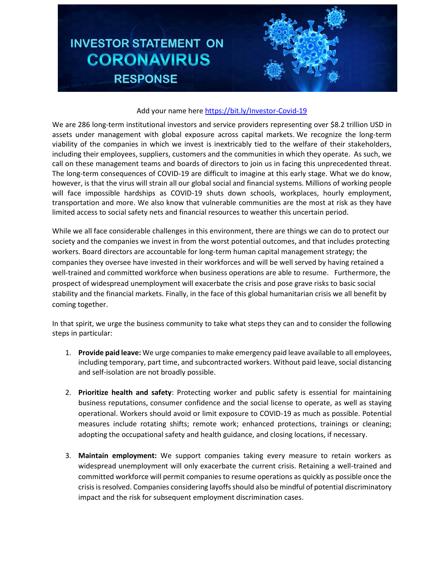## **INVESTOR STATEMENT ON CORONAVIRUS RESPONSE**



## Add your name her[e https://bit.ly/Investor-Covid-19](https://bit.ly/Investor-Covid-19)

We are 286 long-term institutional investors and service providers representing over \$8.2 trillion USD in assets under management with global exposure across capital markets. We recognize the long-term viability of the companies in which we invest is inextricably tied to the welfare of their stakeholders, including their employees, suppliers, customers and the communities in which they operate. As such, we call on these management teams and boards of directors to join us in facing this unprecedented threat. The long-term consequences of COVID-19 are difficult to imagine at this early stage. What we do know, however, is that the virus will strain all our global social and financial systems. Millions of working people will face impossible hardships as COVID-19 shuts down schools, workplaces, hourly employment, transportation and more. We also know that vulnerable communities are the most at risk as they have limited access to social safety nets and financial resources to weather this uncertain period.

While we all face considerable challenges in this environment, there are things we can do to protect our society and the companies we invest in from the worst potential outcomes, and that includes protecting workers. Board directors are accountable for long-term human capital management strategy; the companies they oversee have invested in their workforces and will be well served by having retained a well-trained and committed workforce when business operations are able to resume. Furthermore, the prospect of widespread unemployment will exacerbate the crisis and pose grave risks to basic social stability and the financial markets. Finally, in the face of this global humanitarian crisis we all benefit by coming together.

In that spirit, we urge the business community to take what steps they can and to consider the following steps in particular:

- 1. **Provide paid leave:** We urge companiesto make emergency paid leave available to all employees, including temporary, part time, and subcontracted workers. Without paid leave, social distancing and self-isolation are not broadly possible.
- 2. **Prioritize health and safety**: Protecting worker and public safety is essential for maintaining business reputations, consumer confidence and the social license to operate, as well as staying operational. Workers should avoid or limit exposure to COVID-19 as much as possible. Potential measures include rotating shifts; remote work; enhanced protections, trainings or cleaning; adopting the occupational safety and health guidance, and closing locations, if necessary.
- 3. **Maintain employment:** We support companies taking every measure to retain workers as widespread unemployment will only exacerbate the current crisis. Retaining a well-trained and committed workforce will permit companies to resume operations as quickly as possible once the crisis is resolved. Companies considering layoffs should also be mindful of potential discriminatory impact and the risk for subsequent employment discrimination cases.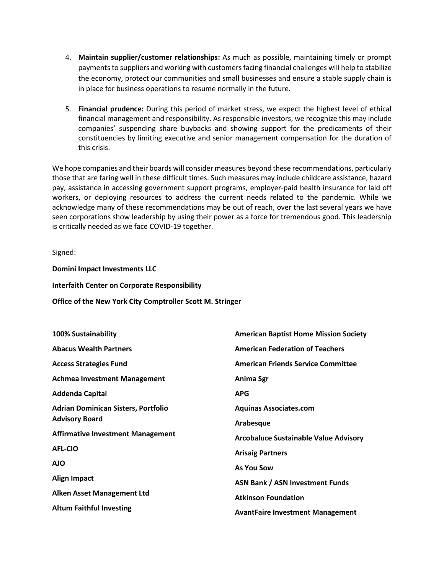- 4. **Maintain supplier/customer relationships:** As much as possible, maintaining timely or prompt payments to suppliers and working with customers facing financial challenges will help to stabilize the economy, protect our communities and small businesses and ensure a stable supply chain is in place for business operations to resume normally in the future.
- 5. **Financial prudence:** During this period of market stress, we expect the highest level of ethical financial management and responsibility. As responsible investors, we recognize this may include companies' suspending share buybacks and showing support for the predicaments of their constituencies by limiting executive and senior management compensation for the duration of this crisis.

We hope companies and their boards will consider measures beyond these recommendations, particularly those that are faring well in these difficult times. Such measures may include childcare assistance, hazard pay, assistance in accessing government support programs, employer-paid health insurance for laid off workers, or deploying resources to address the current needs related to the pandemic. While we acknowledge many of these recommendations may be out of reach, over the last several years we have seen corporations show leadership by using their power as a force for tremendous good. This leadership is critically needed as we face COVID-19 together.

Signed:

**Domini Impact Investments LLC Interfaith Center on Corporate Responsibility**

**Office of the New York City Comptroller Scott M. Stringer**

| <b>100% Sustainability</b>                 | <b>American Baptist Home Mission Society</b> |
|--------------------------------------------|----------------------------------------------|
| <b>Abacus Wealth Partners</b>              | <b>American Federation of Teachers</b>       |
| <b>Access Strategies Fund</b>              | <b>American Friends Service Committee</b>    |
| <b>Achmea Investment Management</b>        | Anima Sgr                                    |
| <b>Addenda Capital</b>                     | <b>APG</b>                                   |
| <b>Adrian Dominican Sisters, Portfolio</b> | <b>Aquinas Associates.com</b>                |
| <b>Advisory Board</b>                      | Arabesque                                    |
| <b>Affirmative Investment Management</b>   | <b>Arcobaluce Sustainable Value Advisory</b> |
| <b>AFL-CIO</b>                             | <b>Arisaig Partners</b>                      |
| <b>AJO</b>                                 | <b>As You Sow</b>                            |
| <b>Align Impact</b>                        | <b>ASN Bank / ASN Investment Funds</b>       |
| Alken Asset Management Ltd                 | <b>Atkinson Foundation</b>                   |
| <b>Altum Faithful Investing</b>            | <b>AvantFaire Investment Management</b>      |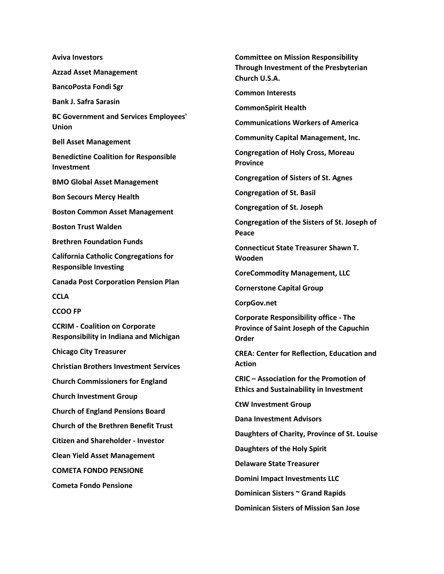**Aviva Investors Azzad Asset Management BancoPosta Fondi Sgr Bank J. Safra Sarasin BC Government and Services Employees' Union Bell Asset Management Benedictine Coalition for Responsible Investment BMO Global Asset Management Bon Secours Mercy Health Boston Common Asset Management Boston Trust Walden Brethren Foundation Funds California Catholic Congregations for Responsible Investing Canada Post Corporation Pension Plan CCLA CCOO FP CCRIM - Coalition on Corporate Responsibility in Indiana and Michigan Chicago City Treasurer Christian Brothers Investment Services Church Commissioners for England Church Investment Group Church of England Pensions Board Church of the Brethren Benefit Trust Citizen and Shareholder - Investor Clean Yield Asset Management COMETA FONDO PENSIONE Cometa Fondo Pensione**

**Committee on Mission Responsibility Through Investment of the Presbyterian Church U.S.A. Common Interests CommonSpirit Health Communications Workers of America Community Capital Management, Inc. Congregation of Holy Cross, Moreau Province Congregation of Sisters of St. Agnes Congregation of St. Basil Congregation of St. Joseph Congregation of the Sisters of St. Joseph of Peace Connecticut State Treasurer Shawn T. Wooden CoreCommodity Management, LLC Cornerstone Capital Group CorpGov.net Corporate Responsibility office - The Province of Saint Joseph of the Capuchin Order CREA: Center for Reflection, Education and Action CRIC – Association for the Promotion of Ethics and Sustainability in Investment CtW Investment Group Dana Investment Advisors Daughters of Charity, Province of St. Louise Daughters of the Holy Spirit Delaware State Treasurer Domini Impact Investments LLC Dominican Sisters ~ Grand Rapids Dominican Sisters of Mission San Jose**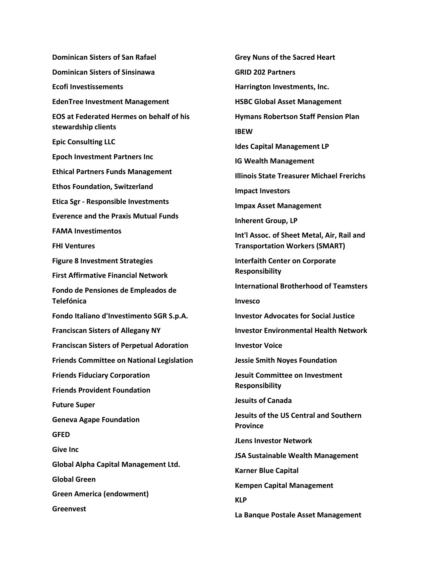**Dominican Sisters of San Rafael Dominican Sisters of Sinsinawa Ecofi Investissements EdenTree Investment Management EOS at Federated Hermes on behalf of his stewardship clients Epic Consulting LLC Epoch Investment Partners Inc Ethical Partners Funds Management Ethos Foundation, Switzerland Etica Sgr - Responsible Investments Everence and the Praxis Mutual Funds FAMA Investimentos FHI Ventures Figure 8 Investment Strategies First Affirmative Financial Network Fondo de Pensiones de Empleados de Telefónica Fondo Italiano d'Investimento SGR S.p.A. Franciscan Sisters of Allegany NY Franciscan Sisters of Perpetual Adoration Friends Committee on National Legislation Friends Fiduciary Corporation Friends Provident Foundation Future Super Geneva Agape Foundation GFED Give Inc Global Alpha Capital Management Ltd. Global Green Green America (endowment) Greenvest**

**Grey Nuns of the Sacred Heart GRID 202 Partners Harrington Investments, Inc. HSBC Global Asset Management Hymans Robertson Staff Pension Plan IBEW Ides Capital Management LP IG Wealth Management Illinois State Treasurer Michael Frerichs Impact Investors Impax Asset Management Inherent Group, LP Int'l Assoc. of Sheet Metal, Air, Rail and Transportation Workers (SMART) Interfaith Center on Corporate Responsibility International Brotherhood of Teamsters Invesco Investor Advocates for Social Justice Investor Environmental Health Network Investor Voice Jessie Smith Noyes Foundation Jesuit Committee on Investment Responsibility Jesuits of Canada Jesuits of the US Central and Southern Province JLens Investor Network JSA Sustainable Wealth Management Karner Blue Capital Kempen Capital Management KLP La Banque Postale Asset Management**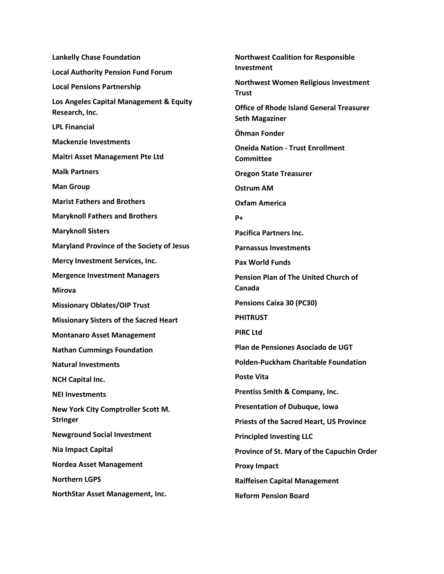**Lankelly Chase Foundation Local Authority Pension Fund Forum Local Pensions Partnership Los Angeles Capital Management & Equity Research, Inc. LPL Financial Mackenzie Investments Maitri Asset Management Pte Ltd Malk Partners Man Group Marist Fathers and Brothers Maryknoll Fathers and Brothers Maryknoll Sisters Maryland Province of the Society of Jesus Mercy Investment Services, Inc. Mergence Investment Managers Mirova Missionary Oblates/OIP Trust Missionary Sisters of the Sacred Heart Montanaro Asset Management Nathan Cummings Foundation Natural Investments NCH Capital Inc. NEI Investments New York City Comptroller Scott M. Stringer Newground Social Investment Nia Impact Capital Nordea Asset Management Northern LGPS NorthStar Asset Management, Inc.**

**Northwest Coalition for Responsible Investment Northwest Women Religious Investment Trust Office of Rhode Island General Treasurer Seth Magaziner Öhman Fonder Oneida Nation - Trust Enrollment Committee Oregon State Treasurer Ostrum AM Oxfam America P+ Pacifica Partners Inc. Parnassus Investments Pax World Funds Pension Plan of The United Church of Canada Pensions Caixa 30 (PC30) PHITRUST PIRC Ltd Plan de Pensiones Asociado de UGT Polden-Puckham Charitable Foundation Poste Vita Prentiss Smith & Company, Inc. Presentation of Dubuque, Iowa Priests of the Sacred Heart, US Province Principled Investing LLC Province of St. Mary of the Capuchin Order Proxy Impact Raiffeisen Capital Management Reform Pension Board**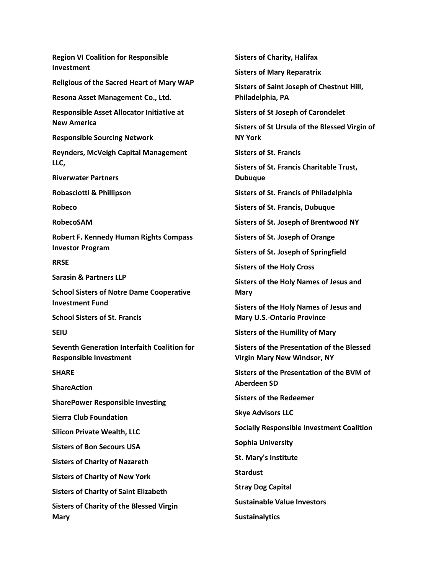**Region VI Coalition for Responsible Investment Religious of the Sacred Heart of Mary WAP Resona Asset Management Co., Ltd. Responsible Asset Allocator Initiative at New America Responsible Sourcing Network Reynders, McVeigh Capital Management LLC, Riverwater Partners Robasciotti & Phillipson Robeco RobecoSAM Robert F. Kennedy Human Rights Compass Investor Program RRSE Sarasin & Partners LLP School Sisters of Notre Dame Cooperative Investment Fund School Sisters of St. Francis SEIU Seventh Generation Interfaith Coalition for Responsible Investment SHARE ShareAction SharePower Responsible Investing Sierra Club Foundation Silicon Private Wealth, LLC Sisters of Bon Secours USA Sisters of Charity of Nazareth Sisters of Charity of New York Sisters of Charity of Saint Elizabeth Sisters of Charity of the Blessed Virgin Mary**

**Sisters of Charity, Halifax Sisters of Mary Reparatrix Sisters of Saint Joseph of Chestnut Hill, Philadelphia, PA Sisters of St Joseph of Carondelet Sisters of St Ursula of the Blessed Virgin of NY York Sisters of St. Francis Sisters of St. Francis Charitable Trust, Dubuque Sisters of St. Francis of Philadelphia Sisters of St. Francis, Dubuque Sisters of St. Joseph of Brentwood NY Sisters of St. Joseph of Orange Sisters of St. Joseph of Springfield Sisters of the Holy Cross Sisters of the Holy Names of Jesus and Mary Sisters of the Holy Names of Jesus and Mary U.S.-Ontario Province Sisters of the Humility of Mary Sisters of the Presentation of the Blessed Virgin Mary New Windsor, NY Sisters of the Presentation of the BVM of Aberdeen SD Sisters of the Redeemer Skye Advisors LLC Socially Responsible Investment Coalition Sophia University St. Mary's Institute Stardust Stray Dog Capital Sustainable Value Investors Sustainalytics**